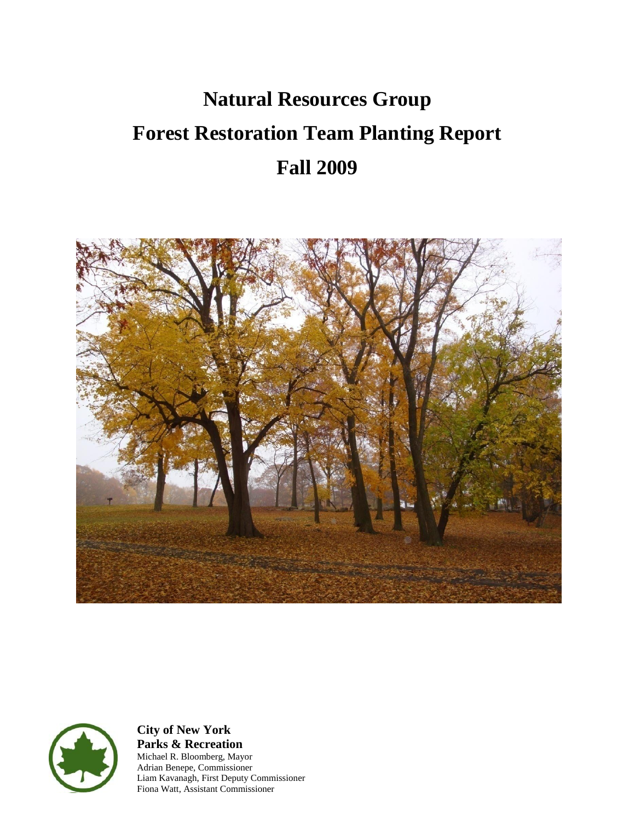# **Natural Resources Group Forest Restoration Team Planting Report Fall 2009**





**City of New York Parks & Recreation** Michael R. Bloomberg, Mayor Adrian Benepe, Commissioner Liam Kavanagh, First Deputy Commissioner Fiona Watt, Assistant Commissioner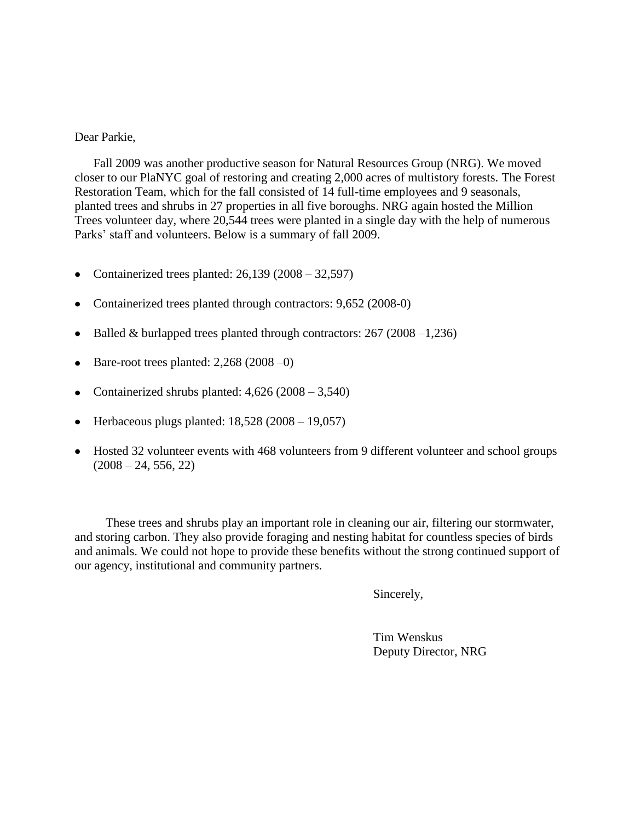#### Dear Parkie,

Fall 2009 was another productive season for Natural Resources Group (NRG). We moved closer to our PlaNYC goal of restoring and creating 2,000 acres of multistory forests. The Forest Restoration Team, which for the fall consisted of 14 full-time employees and 9 seasonals, planted trees and shrubs in 27 properties in all five boroughs. NRG again hosted the Million Trees volunteer day, where 20,544 trees were planted in a single day with the help of numerous Parks' staff and volunteers. Below is a summary of fall 2009.

- Containerized trees planted:  $26,139$  ( $2008 32,597$ )
- Containerized trees planted through contractors: 9,652 (2008-0)
- Balled & burlapped trees planted through contractors: 267 (2008 –1,236)
- $\bullet$  Bare-root trees planted: 2,268 (2008 –0)
- Containerized shrubs planted:  $4,626$  (2008 3,540)
- $\bullet$  Herbaceous plugs planted: 18,528 (2008 19,057)
- Hosted 32 volunteer events with 468 volunteers from 9 different volunteer and school groups  $(2008 - 24, 556, 22)$

 These trees and shrubs play an important role in cleaning our air, filtering our stormwater, and storing carbon. They also provide foraging and nesting habitat for countless species of birds and animals. We could not hope to provide these benefits without the strong continued support of our agency, institutional and community partners.

Sincerely,

Tim Wenskus Deputy Director, NRG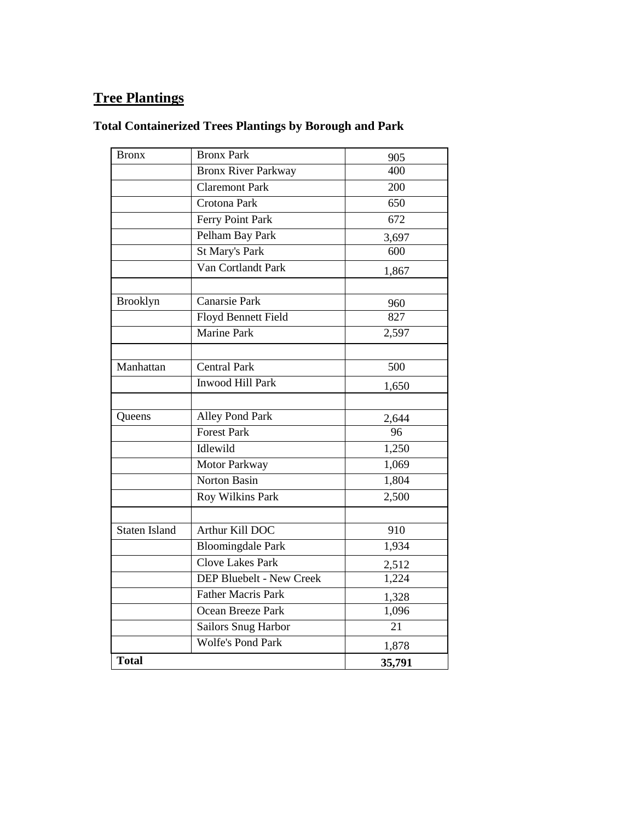# **Tree Plantings**

# **Total Containerized Trees Plantings by Borough and Park**

| <b>Bronx</b>  | <b>Bronx Park</b>               | 905    |
|---------------|---------------------------------|--------|
|               | <b>Bronx River Parkway</b>      | 400    |
|               | <b>Claremont Park</b>           | 200    |
|               | Crotona Park                    | 650    |
|               | Ferry Point Park                | 672    |
|               | Pelham Bay Park                 | 3,697  |
|               | St Mary's Park                  | 600    |
|               | Van Cortlandt Park              | 1,867  |
|               |                                 |        |
| Brooklyn      | <b>Canarsie Park</b>            | 960    |
|               | <b>Floyd Bennett Field</b>      | 827    |
|               | <b>Marine Park</b>              | 2,597  |
|               |                                 |        |
| Manhattan     | <b>Central Park</b>             | 500    |
|               | <b>Inwood Hill Park</b>         | 1,650  |
|               |                                 |        |
| Queens        | Alley Pond Park                 | 2,644  |
|               | <b>Forest Park</b>              | 96     |
|               | Idlewild                        | 1,250  |
|               | Motor Parkway                   | 1,069  |
|               | <b>Norton Basin</b>             | 1,804  |
|               | Roy Wilkins Park                | 2,500  |
| Staten Island | Arthur Kill DOC                 | 910    |
|               |                                 |        |
|               | <b>Bloomingdale Park</b>        | 1,934  |
|               | <b>Clove Lakes Park</b>         | 2,512  |
|               | <b>DEP Bluebelt - New Creek</b> | 1,224  |
|               | <b>Father Macris Park</b>       | 1,328  |
|               | Ocean Breeze Park               | 1,096  |
|               | Sailors Snug Harbor             | 21     |
|               | <b>Wolfe's Pond Park</b>        | 1,878  |
| <b>Total</b>  |                                 | 35,791 |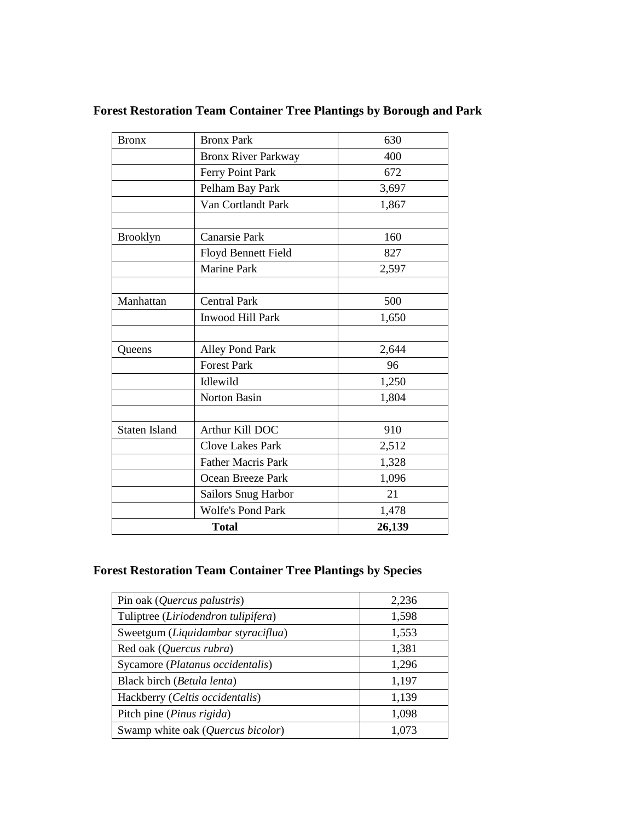| <b>Bronx</b>         | <b>Bronx Park</b>          | 630    |
|----------------------|----------------------------|--------|
|                      | <b>Bronx River Parkway</b> | 400    |
|                      | Ferry Point Park           | 672    |
|                      | Pelham Bay Park            | 3,697  |
|                      | Van Cortlandt Park         | 1,867  |
| <b>Brooklyn</b>      | <b>Canarsie Park</b>       | 160    |
|                      | Floyd Bennett Field        | 827    |
|                      | <b>Marine Park</b>         | 2,597  |
| Manhattan            | <b>Central Park</b>        | 500    |
|                      | Inwood Hill Park           | 1,650  |
|                      |                            |        |
| Queens               | Alley Pond Park            | 2,644  |
|                      | <b>Forest Park</b>         | 96     |
|                      | Idlewild                   | 1,250  |
|                      | Norton Basin               | 1,804  |
| <b>Staten Island</b> | Arthur Kill DOC            | 910    |
|                      | <b>Clove Lakes Park</b>    | 2,512  |
|                      | <b>Father Macris Park</b>  | 1,328  |
|                      | Ocean Breeze Park          | 1,096  |
|                      | <b>Sailors Snug Harbor</b> | 21     |
|                      | <b>Wolfe's Pond Park</b>   | 1,478  |
|                      | <b>Total</b>               | 26,139 |

# **Forest Restoration Team Container Tree Plantings by Borough and Park**

### **Forest Restoration Team Container Tree Plantings by Species**

| Pin oak ( <i>Quercus palustris</i> ) | 2,236 |
|--------------------------------------|-------|
| Tuliptree (Liriodendron tulipifera)  | 1,598 |
| Sweetgum (Liquidambar styraciflua)   | 1,553 |
| Red oak (Quercus rubra)              | 1,381 |
| Sycamore (Platanus occidentalis)     | 1,296 |
| Black birch (Betula lenta)           | 1,197 |
| Hackberry (Celtis occidentalis)      | 1,139 |
| Pitch pine (Pinus rigida)            | 1,098 |
| Swamp white oak (Quercus bicolor)    | 1.073 |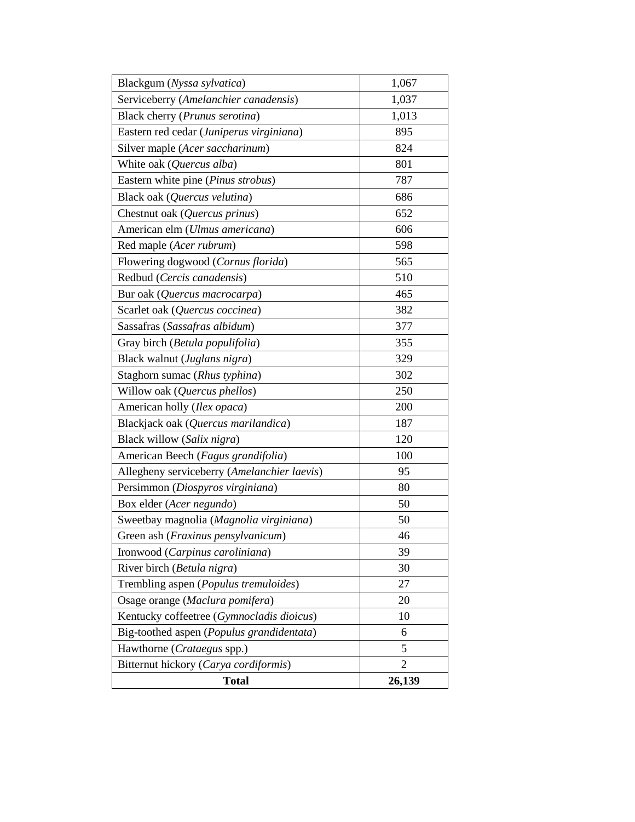| Blackgum (Nyssa sylvatica)                  | 1,067          |
|---------------------------------------------|----------------|
| Serviceberry (Amelanchier canadensis)       | 1,037          |
| Black cherry (Prunus serotina)              | 1,013          |
| Eastern red cedar (Juniperus virginiana)    | 895            |
| Silver maple (Acer saccharinum)             | 824            |
| White oak (Quercus alba)                    | 801            |
| Eastern white pine (Pinus strobus)          | 787            |
| Black oak (Quercus velutina)                | 686            |
| Chestnut oak (Quercus prinus)               | 652            |
| American elm (Ulmus americana)              | 606            |
| Red maple (Acer rubrum)                     | 598            |
| Flowering dogwood (Cornus florida)          | 565            |
| Redbud (Cercis canadensis)                  | 510            |
| Bur oak (Quercus macrocarpa)                | 465            |
| Scarlet oak (Quercus coccinea)              | 382            |
| Sassafras (Sassafras albidum)               | 377            |
| Gray birch (Betula populifolia)             | 355            |
| Black walnut (Juglans nigra)                | 329            |
| Staghorn sumac (Rhus typhina)               | 302            |
| Willow oak (Quercus phellos)                | 250            |
| American holly (Ilex opaca)                 | 200            |
| Blackjack oak (Quercus marilandica)         | 187            |
| Black willow (Salix nigra)                  | 120            |
| American Beech (Fagus grandifolia)          | 100            |
| Allegheny serviceberry (Amelanchier laevis) | 95             |
| Persimmon (Diospyros virginiana)            | 80             |
| Box elder (Acer negundo)                    | 50             |
| Sweetbay magnolia (Magnolia virginiana)     | 50             |
| Green ash (Fraxinus pensylvanicum)          | 46             |
| Ironwood (Carpinus caroliniana)             | 39             |
| River birch (Betula nigra)                  | 30             |
| Trembling aspen (Populus tremuloides)       | 27             |
| Osage orange (Maclura pomifera)             | 20             |
| Kentucky coffeetree (Gymnocladis dioicus)   | 10             |
| Big-toothed aspen (Populus grandidentata)   | 6              |
| Hawthorne (Crataegus spp.)                  | 5              |
| Bitternut hickory (Carya cordiformis)       | $\overline{2}$ |
| <b>Total</b>                                | 26,139         |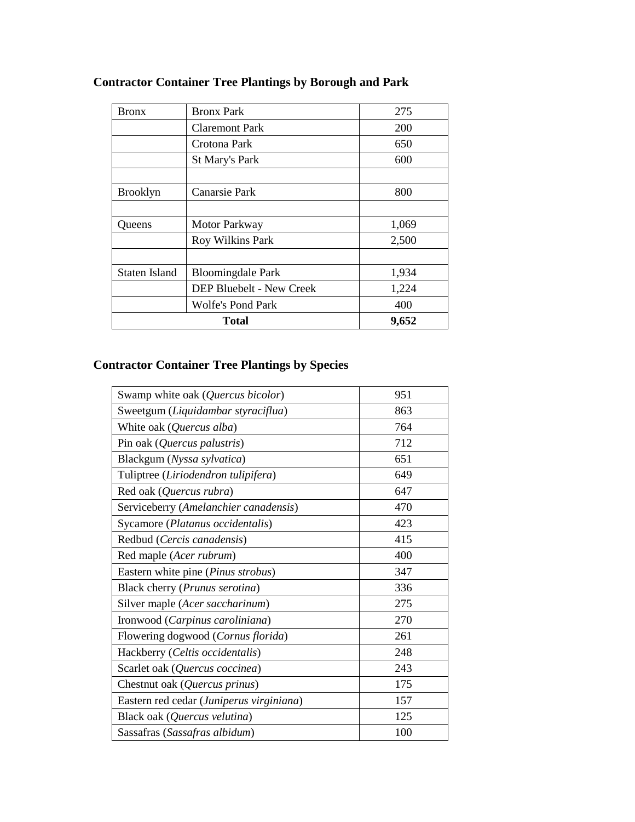| Bronx           | <b>Bronx Park</b>                        | 275        |
|-----------------|------------------------------------------|------------|
|                 | <b>Claremont Park</b>                    | <b>200</b> |
|                 | Crotona Park                             | 650        |
|                 | St Mary's Park                           | 600        |
|                 |                                          |            |
| <b>Brooklyn</b> | Canarsie Park                            | 800        |
|                 |                                          |            |
| Queens          | Motor Parkway                            | 1,069      |
|                 | Roy Wilkins Park                         | 2,500      |
|                 |                                          |            |
| Staten Island   | <b>Bloomingdale Park</b>                 | 1,934      |
|                 | <b>DEP Bluebelt - New Creek</b><br>1,224 |            |
|                 | <b>Wolfe's Pond Park</b>                 | 400        |
|                 | <b>Total</b>                             | 9,652      |

# **Contractor Container Tree Plantings by Borough and Park**

# **Contractor Container Tree Plantings by Species**

| Swamp white oak (Quercus bicolor)        | 951 |
|------------------------------------------|-----|
| Sweetgum (Liquidambar styraciflua)       | 863 |
| White oak (Quercus alba)                 | 764 |
| Pin oak (Quercus palustris)              | 712 |
| Blackgum (Nyssa sylvatica)               | 651 |
| Tuliptree (Liriodendron tulipifera)      | 649 |
| Red oak (Quercus rubra)                  | 647 |
| Serviceberry (Amelanchier canadensis)    | 470 |
| Sycamore (Platanus occidentalis)         | 423 |
| Redbud (Cercis canadensis)               | 415 |
| Red maple (Acer rubrum)                  | 400 |
| Eastern white pine (Pinus strobus)       | 347 |
| Black cherry (Prunus serotina)           | 336 |
| Silver maple (Acer saccharinum)          | 275 |
| Ironwood (Carpinus caroliniana)          | 270 |
| Flowering dogwood (Cornus florida)       | 261 |
| Hackberry (Celtis occidentalis)          | 248 |
| Scarlet oak (Quercus coccinea)           | 243 |
| Chestnut oak (Quercus prinus)            | 175 |
| Eastern red cedar (Juniperus virginiana) | 157 |
| Black oak (Quercus velutina)             | 125 |
| Sassafras (Sassafras albidum)            | 100 |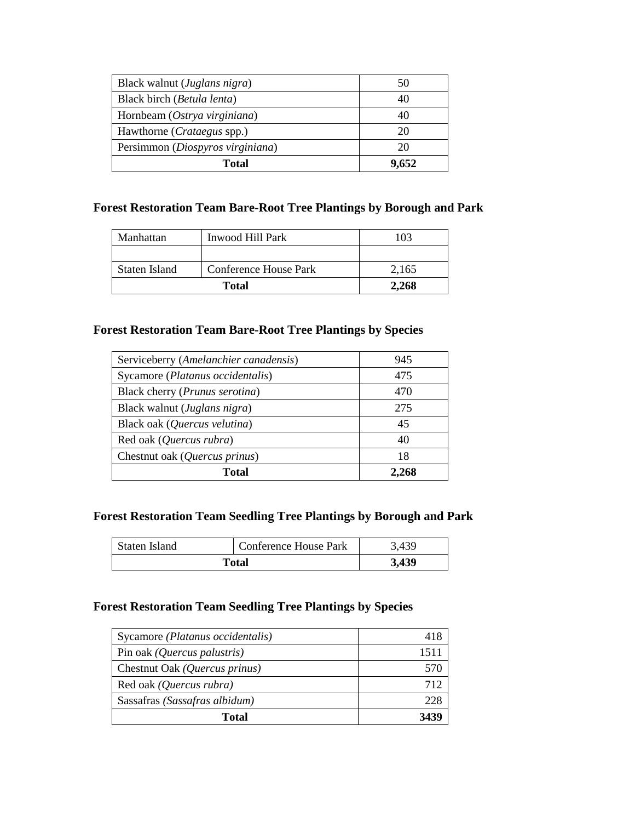| Black walnut (Juglans nigra)       | 50    |
|------------------------------------|-------|
| Black birch (Betula lenta)         |       |
| Hornbeam (Ostrya virginiana)       |       |
| Hawthorne ( <i>Crataegus</i> spp.) | 20    |
| Persimmon (Diospyros virginiana)   | 20    |
| Total                              | 9.652 |

### **Forest Restoration Team Bare-Root Tree Plantings by Borough and Park**

| Manhattan     | Inwood Hill Park      | 103   |
|---------------|-----------------------|-------|
|               |                       |       |
| Staten Island | Conference House Park | 2,165 |
| <b>Total</b>  |                       | 2,268 |

#### **Forest Restoration Team Bare-Root Tree Plantings by Species**

| Serviceberry (Amelanchier canadensis)   | 945   |
|-----------------------------------------|-------|
| Sycamore (Platanus occidentalis)        | 475   |
| Black cherry ( <i>Prunus serotina</i> ) | 470   |
| Black walnut ( <i>Juglans nigra</i> )   | 275   |
| Black oak (Quercus velutina)            | 45    |
| Red oak (Quercus rubra)                 | 40    |
| Chestnut oak (Quercus prinus)           | 18    |
| Total                                   | 2.268 |

#### **Forest Restoration Team Seedling Tree Plantings by Borough and Park**

| Staten Island | Conference House Park | 3,439 |
|---------------|-----------------------|-------|
|               | Total                 | 3,439 |

#### **Forest Restoration Team Seedling Tree Plantings by Species**

| Sycamore (Platanus occidentalis) | 418  |
|----------------------------------|------|
| Pin oak (Quercus palustris)      | 1511 |
| Chestnut Oak (Quercus prinus)    | 570  |
| Red oak (Quercus rubra)          | 712  |
| Sassafras (Sassafras albidum)    | 228  |
| Total                            | 3439 |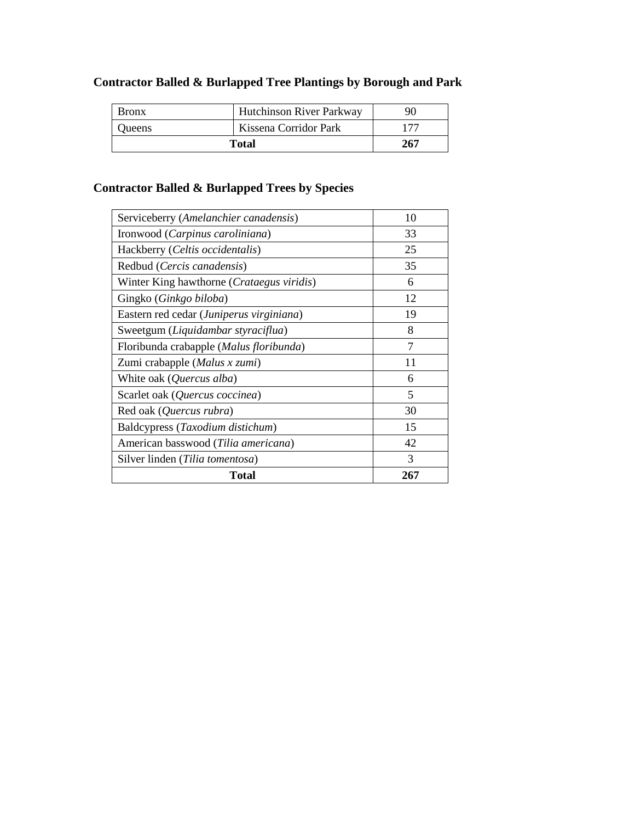# **Contractor Balled & Burlapped Tree Plantings by Borough and Park**

| <b>Bronx</b>  | <b>Hutchinson River Parkway</b> | 90  |
|---------------|---------------------------------|-----|
| <b>Oueens</b> | Kissena Corridor Park           |     |
| Total         |                                 | 267 |

# **Contractor Balled & Burlapped Trees by Species**

| Serviceberry (Amelanchier canadensis)     | 10             |
|-------------------------------------------|----------------|
| Ironwood (Carpinus caroliniana)           | 33             |
| Hackberry (Celtis occidentalis)           | 25             |
| Redbud (Cercis canadensis)                | 35             |
| Winter King hawthorne (Crataegus viridis) | 6              |
| Gingko (Ginkgo biloba)                    | 12             |
| Eastern red cedar (Juniperus virginiana)  | 19             |
| Sweetgum (Liquidambar styraciflua)        | 8              |
| Floribunda crabapple (Malus floribunda)   | $\overline{7}$ |
| Zumi crabapple (Malus x zumi)             | 11             |
| White oak (Quercus alba)                  | 6              |
| Scarlet oak (Quercus coccinea)            | 5              |
| Red oak (Quercus rubra)                   | 30             |
| Baldcypress (Taxodium distichum)          | 15             |
| American basswood (Tilia americana)       | 42             |
| Silver linden (Tilia tomentosa)           | 3              |
| Total                                     | 267            |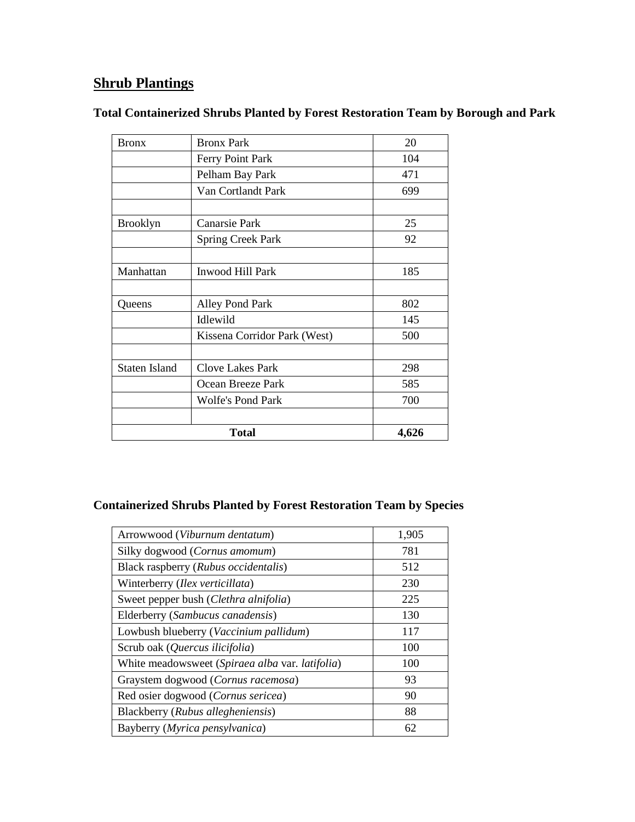# **Shrub Plantings**

### **Total Containerized Shrubs Planted by Forest Restoration Team by Borough and Park**

|                      | Total                        | 4,626 |
|----------------------|------------------------------|-------|
|                      |                              |       |
|                      | <b>Wolfe's Pond Park</b>     | 700   |
|                      | Ocean Breeze Park            | 585   |
| <b>Staten Island</b> | <b>Clove Lakes Park</b>      | 298   |
|                      | Kissena Corridor Park (West) | 500   |
|                      | Idlewild                     | 145   |
| Queens               | Alley Pond Park              | 802   |
| Manhattan            | <b>Inwood Hill Park</b>      | 185   |
|                      |                              |       |
|                      | <b>Spring Creek Park</b>     | 92    |
| <b>Brooklyn</b>      | Canarsie Park                | 25    |
|                      |                              |       |
|                      | Van Cortlandt Park           | 699   |
|                      | Pelham Bay Park              | 471   |
|                      | Ferry Point Park             | 104   |
| <b>Bronx</b>         | <b>Bronx Park</b>            | 20    |

# **Containerized Shrubs Planted by Forest Restoration Team by Species**

| Arrowwood (Viburnum dentatum)                   | 1,905 |
|-------------------------------------------------|-------|
| Silky dogwood (Cornus amomum)                   | 781   |
| Black raspberry (Rubus occidentalis)            | 512   |
| Winterberry (Ilex verticillata)                 | 230   |
| Sweet pepper bush (Clethra alnifolia)           | 225   |
| Elderberry (Sambucus canadensis)                | 130   |
| Lowbush blueberry (Vaccinium pallidum)          | 117   |
| Scrub oak (Quercus ilicifolia)                  | 100   |
| White meadowsweet (Spiraea alba var. latifolia) | 100   |
| Graystem dogwood (Cornus racemosa)              | 93    |
| Red osier dogwood (Cornus sericea)              | 90    |
| Blackberry (Rubus allegheniensis)               | 88    |
| Bayberry (Myrica pensylvanica)                  | 62    |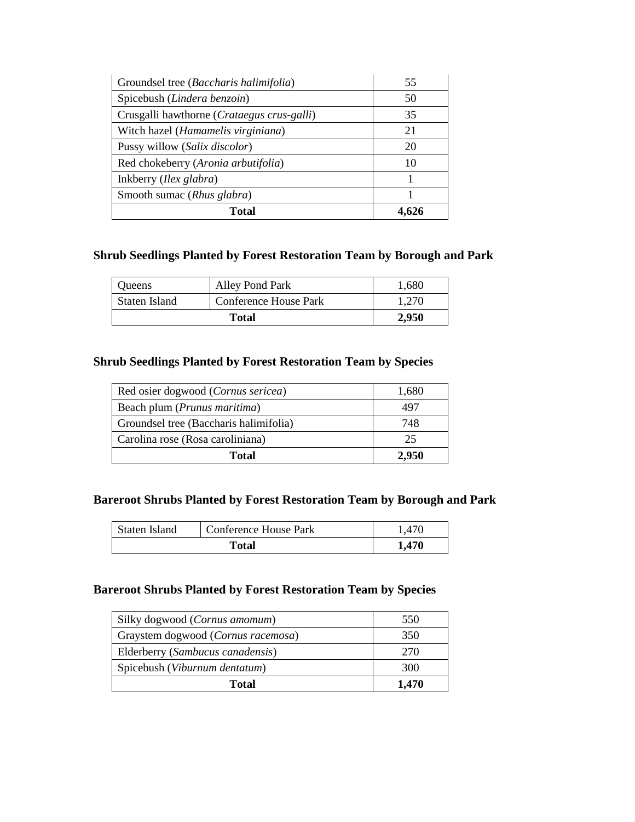| Groundsel tree (Baccharis halimifolia)     | 55 |
|--------------------------------------------|----|
| Spicebush (Lindera benzoin)                | 50 |
| Crusgalli hawthorne (Crataegus crus-galli) | 35 |
| Witch hazel (Hamamelis virginiana)         | 21 |
| Pussy willow (Salix discolor)              | 20 |
| Red chokeberry (Aronia arbutifolia)        | 10 |
| Inkberry ( <i>Ilex glabra</i> )            |    |
| Smooth sumac (Rhus glabra)                 |    |
| Total                                      |    |

### **Shrub Seedlings Planted by Forest Restoration Team by Borough and Park**

| Queens        | Alley Pond Park       | 1.680 |
|---------------|-----------------------|-------|
| Staten Island | Conference House Park | 1.270 |
|               | <b>Total</b>          | 2.950 |

### **Shrub Seedlings Planted by Forest Restoration Team by Species**

| Red osier dogwood ( <i>Cornus sericea</i> ) | 1,680 |
|---------------------------------------------|-------|
| Beach plum ( <i>Prunus maritima</i> )       | 497   |
| Groundsel tree (Baccharis halimifolia)      | 748   |
| Carolina rose (Rosa caroliniana)            | 25    |
| Total                                       | 2.950 |

### **Bareroot Shrubs Planted by Forest Restoration Team by Borough and Park**

| Staten Island | <b>Conference House Park</b> | 1.470 |
|---------------|------------------------------|-------|
|               | Total                        | 1,470 |

### **Bareroot Shrubs Planted by Forest Restoration Team by Species**

| Silky dogwood ( <i>Cornus amomum</i> ) | 550   |
|----------------------------------------|-------|
| Graystem dogwood (Cornus racemosa)     | 350   |
| Elderberry (Sambucus canadensis)       | 270   |
| Spicebush (Viburnum dentatum)          | 300   |
| Total                                  | 1,470 |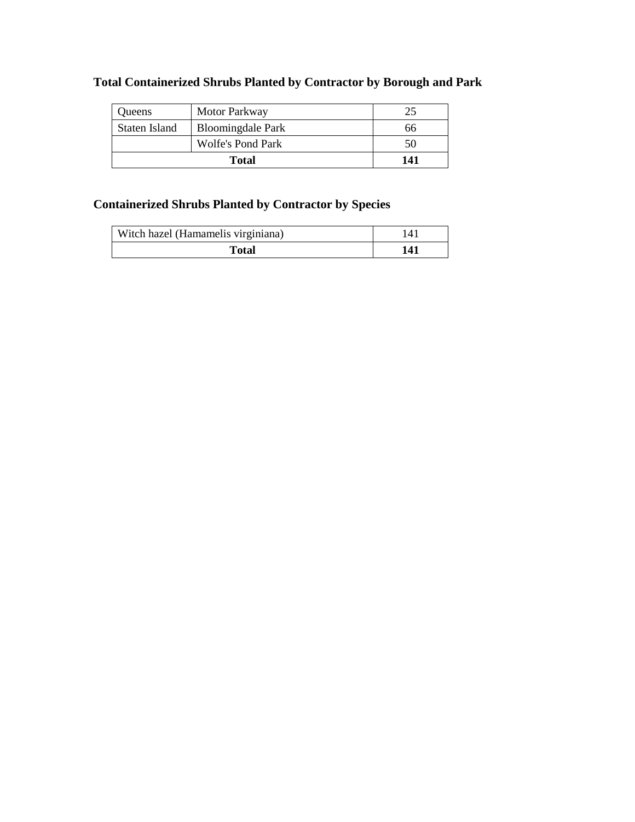# **Total Containerized Shrubs Planted by Contractor by Borough and Park**

| <b>Oueens</b> | Motor Parkway            | າ.  |
|---------------|--------------------------|-----|
| Staten Island | <b>Bloomingdale Park</b> | 66  |
|               | Wolfe's Pond Park        | 50  |
| <b>Total</b>  |                          | 141 |

# **Containerized Shrubs Planted by Contractor by Species**

| Witch hazel (Hamamelis virginiana) | $\overline{4}$ |
|------------------------------------|----------------|
| Total                              | 141            |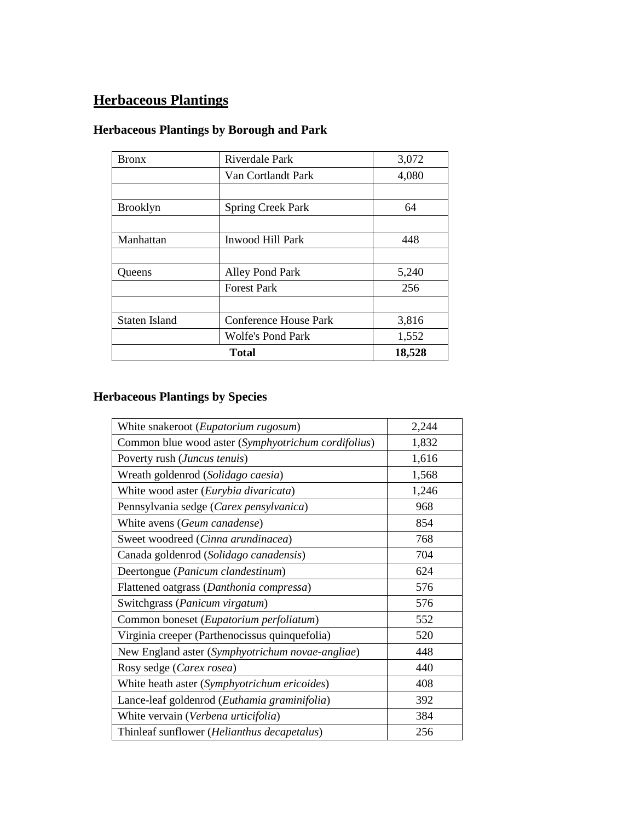# **Herbaceous Plantings**

# **Herbaceous Plantings by Borough and Park**

| <b>Bronx</b>         | Riverdale Park               | 3,072  |
|----------------------|------------------------------|--------|
|                      | Van Cortlandt Park           | 4,080  |
|                      |                              |        |
| <b>Brooklyn</b>      | <b>Spring Creek Park</b>     | 64     |
|                      |                              |        |
| Manhattan            | Inwood Hill Park             | 448    |
|                      |                              |        |
| <b>Oueens</b>        | <b>Alley Pond Park</b>       | 5,240  |
|                      | <b>Forest Park</b>           | 256    |
|                      |                              |        |
| <b>Staten Island</b> | <b>Conference House Park</b> | 3,816  |
|                      | <b>Wolfe's Pond Park</b>     | 1,552  |
|                      | <b>Total</b>                 | 18,528 |

# **Herbaceous Plantings by Species**

| White snakeroot (Eupatorium rugosum)                | 2,244 |
|-----------------------------------------------------|-------|
| Common blue wood aster (Symphyotrichum cordifolius) | 1,832 |
| Poverty rush (Juncus tenuis)                        | 1,616 |
| Wreath goldenrod (Solidago caesia)                  | 1,568 |
| White wood aster (Eurybia divaricata)               | 1,246 |
| Pennsylvania sedge (Carex pensylvanica)             | 968   |
| White avens (Geum canadense)                        | 854   |
| Sweet woodreed (Cinna arundinacea)                  | 768   |
| Canada goldenrod (Solidago canadensis)              | 704   |
| Deertongue (Panicum clandestinum)                   | 624   |
| Flattened oatgrass (Danthonia compressa)            | 576   |
| Switchgrass (Panicum virgatum)                      | 576   |
| Common boneset (Eupatorium perfoliatum)             | 552   |
| Virginia creeper (Parthenocissus quinquefolia)      | 520   |
| New England aster (Symphyotrichum novae-angliae)    | 448   |
| Rosy sedge (Carex rosea)                            | 440   |
| White heath aster (Symphyotrichum ericoides)        | 408   |
| Lance-leaf goldenrod (Euthamia graminifolia)        | 392   |
| White vervain (Verbena urticifolia)                 | 384   |
| Thinleaf sunflower (Helianthus decapetalus)         | 256   |